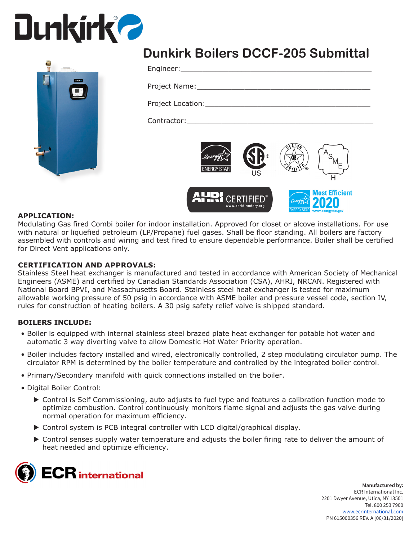# **Dunkirk 2**



### **Dunkirk Boilers DCCF-205 Submittal**

Engineer:

Project Name:

Project Location:

Contractor:



#### **APPLICATION:**

Modulating Gas fired Combi boiler for indoor installation. Approved for closet or alcove installations. For use with natural or liquefied petroleum (LP/Propane) fuel gases. Shall be floor standing. All boilers are factory assembled with controls and wiring and test fired to ensure dependable performance. Boiler shall be certified for Direct Vent applications only.

#### **CERTIFICATION AND APPROVALS:**

Stainless Steel heat exchanger is manufactured and tested in accordance with American Society of Mechanical Engineers (ASME) and certified by Canadian Standards Association (CSA), AHRI, NRCAN. Registered with National Board BPVI, and Massachusetts Board. Stainless steel heat exchanger is tested for maximum allowable working pressure of 50 psig in accordance with ASME boiler and pressure vessel code, section IV, rules for construction of heating boilers. A 30 psig safety relief valve is shipped standard.

#### **BOILERS INCLUDE:**

- Boiler is equipped with internal stainless steel brazed plate heat exchanger for potable hot water and automatic 3 way diverting valve to allow Domestic Hot Water Priority operation.
- Boiler includes factory installed and wired, electronically controlled, 2 step modulating circulator pump. The circulator RPM is determined by the boiler temperature and controlled by the integrated boiler control.
- Primary/Secondary manifold with quick connections installed on the boiler.
- Digital Boiler Control:
	- ▶ Control is Self Commissioning, auto adjusts to fuel type and features a calibration function mode to optimize combustion. Control continuously monitors flame signal and adjusts the gas valve during normal operation for maximum efficiency.
	- $\triangleright$  Control system is PCB integral controller with LCD digital/graphical display.
	- $\triangleright$  Control senses supply water temperature and adjusts the boiler firing rate to deliver the amount of heat needed and optimize efficiency.



**Manufactured by:** ECR International Inc. 2201 Dwyer Avenue, Utica, NY 13501 Tel. 800 253 7900 www.ecrinternational.com PN 615000356 REV. A [06/31/2020]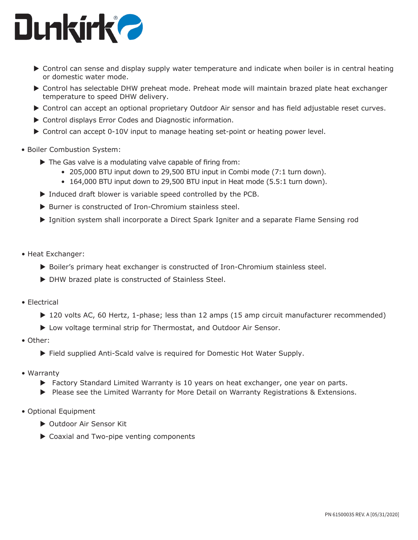

- $\triangleright$  Control can sense and display supply water temperature and indicate when boiler is in central heating or domestic water mode.
- ▶ Control has selectable DHW preheat mode. Preheat mode will maintain brazed plate heat exchanger temperature to speed DHW delivery.
- ▶ Control can accept an optional proprietary Outdoor Air sensor and has field adjustable reset curves.
- $\triangleright$  Control displays Error Codes and Diagnostic information.
- $\triangleright$  Control can accept 0-10V input to manage heating set-point or heating power level.
- Boiler Combustion System:
	- $\blacktriangleright$  The Gas valve is a modulating valve capable of firing from:
		- 205,000 BTU input down to 29,500 BTU input in Combi mode (7:1 turn down).
		- 164,000 BTU input down to 29,500 BTU input in Heat mode (5.5:1 turn down).
	- $\triangleright$  Induced draft blower is variable speed controlled by the PCB.
	- ▶ Burner is constructed of Iron-Chromium stainless steel.
	- ▶ Ignition system shall incorporate a Direct Spark Igniter and a separate Flame Sensing rod
- Heat Exchanger:
	- ▶ Boiler's primary heat exchanger is constructed of Iron-Chromium stainless steel.
	- $\triangleright$  DHW brazed plate is constructed of Stainless Steel.
- Electrical
	- ▶ 120 volts AC, 60 Hertz, 1-phase; less than 12 amps (15 amp circuit manufacturer recommended)
	- ▶ Low voltage terminal strip for Thermostat, and Outdoor Air Sensor.
- Other:
	- ▶ Field supplied Anti-Scald valve is required for Domestic Hot Water Supply.
- Warranty
	- $\blacktriangleright$  Factory Standard Limited Warranty is 10 years on heat exchanger, one year on parts.
	- $\triangleright$  Please see the Limited Warranty for More Detail on Warranty Registrations & Extensions.
- Optional Equipment
	- ▶ Outdoor Air Sensor Kit
	- $\triangleright$  Coaxial and Two-pipe venting components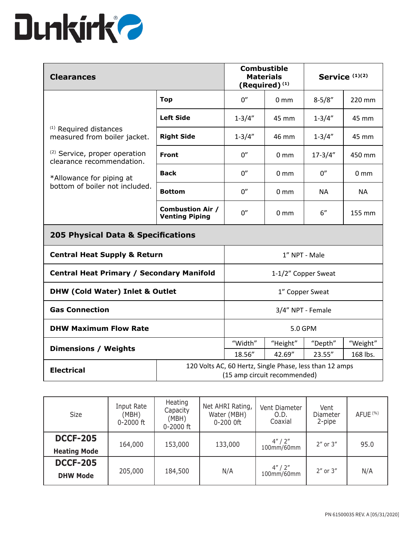

| <b>Clearances</b>                                                     |                                                                                         | <b>Combustible</b><br><b>Materials</b><br>(Required) $(1)$ |                    | Service (1)(2)    |                      |  |
|-----------------------------------------------------------------------|-----------------------------------------------------------------------------------------|------------------------------------------------------------|--------------------|-------------------|----------------------|--|
|                                                                       | <b>Top</b>                                                                              |                                                            | $0 \text{ mm}$     | $8 - 5/8"$        | 220 mm               |  |
|                                                                       | <b>Left Side</b>                                                                        | $1 - 3/4"$                                                 | 45 mm              | $1 - 3/4"$        | 45 mm                |  |
| <sup>(1)</sup> Required distances<br>measured from boiler jacket.     | <b>Right Side</b>                                                                       | $1 - 3/4"$                                                 | 46 mm              | $1 - 3/4"$        | 45 mm                |  |
| <sup>(2)</sup> Service, proper operation<br>clearance recommendation. | <b>Front</b>                                                                            | 0''                                                        | $0 \text{ mm}$     | $17 - 3/4"$       | 450 mm               |  |
| *Allowance for piping at                                              | <b>Back</b>                                                                             | 0''                                                        | 0 <sub>mm</sub>    | 0''               | 0 <sub>mm</sub>      |  |
| bottom of boiler not included.                                        | <b>Bottom</b>                                                                           | 0''                                                        | $0 \text{ mm}$     | <b>NA</b>         | <b>NA</b>            |  |
|                                                                       | <b>Combustion Air /</b><br><b>Venting Piping</b>                                        | 0''                                                        | $0 \text{ mm}$     | 6"                | 155 mm               |  |
| 205 Physical Data & Specifications                                    |                                                                                         |                                                            |                    |                   |                      |  |
| <b>Central Heat Supply &amp; Return</b>                               | 1" NPT - Male                                                                           |                                                            |                    |                   |                      |  |
| <b>Central Heat Primary / Secondary Manifold</b>                      | 1-1/2" Copper Sweat                                                                     |                                                            |                    |                   |                      |  |
| <b>DHW (Cold Water) Inlet &amp; Outlet</b>                            |                                                                                         | 1" Copper Sweat                                            |                    |                   |                      |  |
| <b>Gas Connection</b>                                                 |                                                                                         | 3/4" NPT - Female                                          |                    |                   |                      |  |
| <b>DHW Maximum Flow Rate</b>                                          |                                                                                         | 5.0 GPM                                                    |                    |                   |                      |  |
| <b>Dimensions / Weights</b>                                           |                                                                                         | "Width"<br>18.56"                                          | "Height"<br>42.69" | "Depth"<br>23.55" | "Weight"<br>168 lbs. |  |
|                                                                       |                                                                                         |                                                            |                    |                   |                      |  |
| <b>Electrical</b>                                                     | 120 Volts AC, 60 Hertz, Single Phase, less than 12 amps<br>(15 amp circuit recommended) |                                                            |                    |                   |                      |  |

| <b>Size</b>         | Input Rate<br>(MBH)<br>$0 - 2000$ ft | Heating<br>Capacity<br>(MBH)<br>$0 - 2000$ ft | Net AHRI Rating,<br>Water (MBH)<br>0-200 Oft | Vent Diameter<br>0.D.<br>Coaxial | Vent<br>Diameter<br>2-pipe | AFUE <sup>(%)</sup> |
|---------------------|--------------------------------------|-----------------------------------------------|----------------------------------------------|----------------------------------|----------------------------|---------------------|
| <b>DCCF-205</b>     | 164,000                              | 153,000                                       | 133,000                                      | 4''/2''                          | $2''$ or $3''$             | 95.0                |
| <b>Heating Mode</b> |                                      |                                               |                                              | 100mm/60mm                       |                            |                     |
| <b>DCCF-205</b>     |                                      |                                               |                                              | 4''/2''                          |                            |                     |
| <b>DHW Mode</b>     | 205,000                              | 184,500                                       | N/A                                          | 100mm/60mm                       | $2''$ or $3''$             | N/A                 |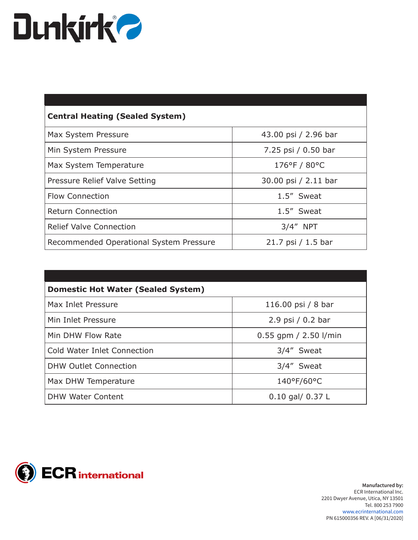### **Dunkirk?**

| Max System Pressure                     | 43.00 psi / 2.96 bar |
|-----------------------------------------|----------------------|
| Min System Pressure                     | 7.25 psi / 0.50 bar  |
| Max System Temperature                  | 176°F / 80°C         |
| Pressure Relief Valve Setting           | 30.00 psi / 2.11 bar |
| <b>Flow Connection</b>                  | 1.5" Sweat           |
| <b>Return Connection</b>                | 1.5" Sweat           |
| <b>Relief Valve Connection</b>          | $3/4''$ NPT          |
| Recommended Operational System Pressure | $21.7$ psi / 1.5 bar |

| <b>Domestic Hot Water (Sealed System)</b> |                         |  |  |
|-------------------------------------------|-------------------------|--|--|
| Max Inlet Pressure                        | 116.00 psi / 8 bar      |  |  |
| Min Inlet Pressure                        | 2.9 psi / 0.2 bar       |  |  |
| Min DHW Flow Rate                         | $0.55$ gpm / 2.50 l/min |  |  |
| Cold Water Inlet Connection               | 3/4" Sweat              |  |  |
| <b>DHW Outlet Connection</b>              | 3/4" Sweat              |  |  |
| Max DHW Temperature                       | 140°F/60°C              |  |  |
| <b>DHW Water Content</b>                  | $0.10$ gal/ $0.37$ L    |  |  |



**Manufactured by:** ECR International Inc. 2201 Dwyer Avenue, Utica, NY 13501 Tel. 800 253 7900 www.ecrinternational.com PN 615000356 REV. A [06/31/2020]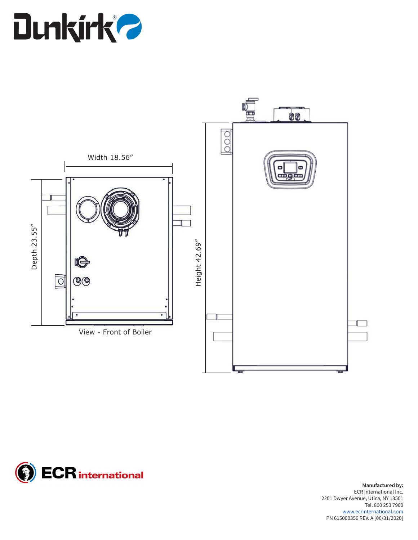# **Dunkirk?**





**Manufactured by:** ECR International Inc. 2201 Dwyer Avenue, Utica, NY 13501 Tel. 800 253 7900 www.ecrinternational.com PN 615000356 REV. A [06/31/2020]